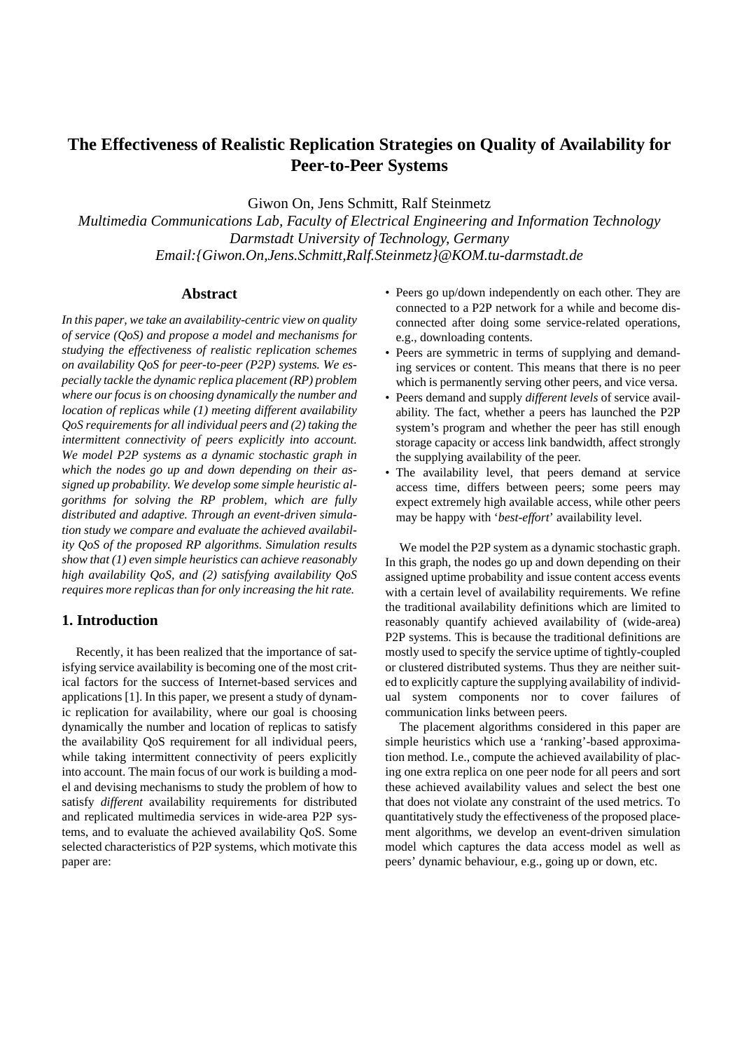# **The Effectiveness of Realistic Replication Strategies on Quality of Availability for Peer-to-Peer Systems**

Giwon On, Jens Schmitt, Ralf Steinmetz

*Multimedia Communications Lab, Faculty of Electrical Engineering and Information Technology Darmstadt University of Technology, Germany Email:{Giwon.On,Jens.Schmitt,Ralf.Steinmetz}@KOM.tu-darmstadt.de*

## **Abstract**

*In this paper, we take an availability-centric view on quality of service (QoS) and propose a model and mechanisms for studying the effectiveness of realistic replication schemes on availability QoS for peer-to-peer (P2P) systems. We especially tackle the dynamic replica placement (RP) problem where our focus is on choosing dynamically the number and location of replicas while (1) meeting different availability QoS requirements for all individual peers and (2) taking the intermittent connectivity of peers explicitly into account. We model P2P systems as a dynamic stochastic graph in which the nodes go up and down depending on their assigned up probability. We develop some simple heuristic algorithms for solving the RP problem, which are fully distributed and adaptive. Through an event-driven simulation study we compare and evaluate the achieved availability QoS of the proposed RP algorithms. Simulation results show that (1) even simple heuristics can achieve reasonably high availability QoS, and (2) satisfying availability QoS requires more replicas than for only increasing the hit rate.*

# **1. Introduction**

Recently, it has been realized that the importance of satisfying service availability is becoming one of the most critical factors for the success of Internet-based services and applications [1]. In this paper, we present a study of dynamic replication for availability, where our goal is choosing dynamically the number and location of replicas to satisfy the availability QoS requirement for all individual peers, while taking intermittent connectivity of peers explicitly into account. The main focus of our work is building a model and devising mechanisms to study the problem of how to satisfy *different* availability requirements for distributed and replicated multimedia services in wide-area P2P systems, and to evaluate the achieved availability QoS. Some selected characteristics of P2P systems, which motivate this paper are:

- Peers go up/down independently on each other. They are connected to a P2P network for a while and become disconnected after doing some service-related operations, e.g., downloading contents.
- Peers are symmetric in terms of supplying and demanding services or content. This means that there is no peer which is permanently serving other peers, and vice versa.
- Peers demand and supply *different levels* of service availability. The fact, whether a peers has launched the P2P system's program and whether the peer has still enough storage capacity or access link bandwidth, affect strongly the supplying availability of the peer.
- The availability level, that peers demand at service access time, differs between peers; some peers may expect extremely high available access, while other peers may be happy with '*best-effort*' availability level.

We model the P2P system as a dynamic stochastic graph. In this graph, the nodes go up and down depending on their assigned uptime probability and issue content access events with a certain level of availability requirements. We refine the traditional availability definitions which are limited to reasonably quantify achieved availability of (wide-area) P2P systems. This is because the traditional definitions are mostly used to specify the service uptime of tightly-coupled or clustered distributed systems. Thus they are neither suited to explicitly capture the supplying availability of individual system components nor to cover failures of communication links between peers.

The placement algorithms considered in this paper are simple heuristics which use a 'ranking'-based approximation method. I.e., compute the achieved availability of placing one extra replica on one peer node for all peers and sort these achieved availability values and select the best one that does not violate any constraint of the used metrics. To quantitatively study the effectiveness of the proposed placement algorithms, we develop an event-driven simulation model which captures the data access model as well as peers' dynamic behaviour, e.g., going up or down, etc.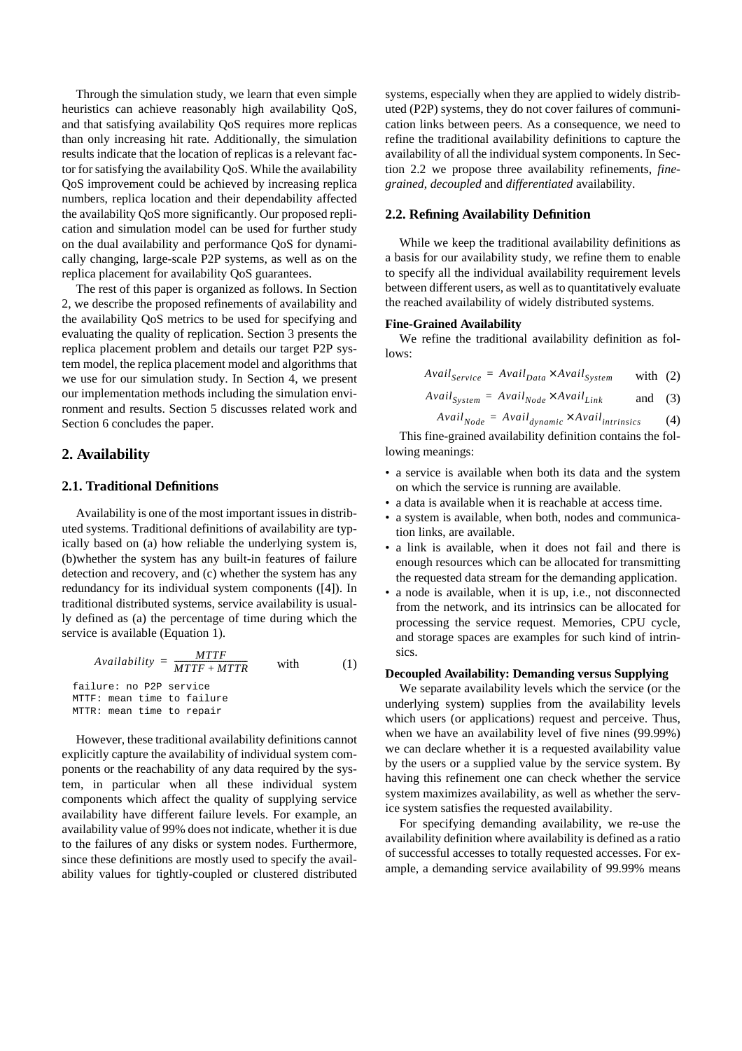Through the simulation study, we learn that even simple heuristics can achieve reasonably high availability QoS, and that satisfying availability QoS requires more replicas than only increasing hit rate. Additionally, the simulation results indicate that the location of replicas is a relevant factor for satisfying the availability QoS. While the availability QoS improvement could be achieved by increasing replica numbers, replica location and their dependability affected the availability QoS more significantly. Our proposed replication and simulation model can be used for further study on the dual availability and performance QoS for dynamically changing, large-scale P2P systems, as well as on the replica placement for availability QoS guarantees.

The rest of this paper is organized as follows. In Section 2, we describe the proposed refinements of availability and the availability QoS metrics to be used for specifying and evaluating the quality of replication. Section 3 presents the replica placement problem and details our target P2P system model, the replica placement model and algorithms that we use for our simulation study. In Section 4, we present our implementation methods including the simulation environment and results. Section 5 discusses related work and Section 6 concludes the paper.

## **2. Availability**

## **2.1. Traditional Definitions**

Availability is one of the most important issues in distributed systems. Traditional definitions of availability are typically based on (a) how reliable the underlying system is, (b)whether the system has any built-in features of failure detection and recovery, and (c) whether the system has any redundancy for its individual system components ([4]). In traditional distributed systems, service availability is usually defined as (a) the percentage of time during which the service is available (Equation 1).

with  $(1)$ failure: no P2P service MTTF: mean time to failure MTTR: mean time to repair  $\displaystyle{{\it Avalability}\,=\, \frac{\it MTTF}{\it MTTF+MTTR}}$ 

However, these traditional availability definitions cannot explicitly capture the availability of individual system components or the reachability of any data required by the system, in particular when all these individual system components which affect the quality of supplying service availability have different failure levels. For example, an availability value of 99% does not indicate, whether it is due to the failures of any disks or system nodes. Furthermore, since these definitions are mostly used to specify the availability values for tightly-coupled or clustered distributed systems, especially when they are applied to widely distributed (P2P) systems, they do not cover failures of communication links between peers. As a consequence, we need to refine the traditional availability definitions to capture the availability of all the individual system components. In Section 2.2 we propose three availability refinements, *finegrained*, *decoupled* and *differentiated* availability.

#### **2.2. Refining Availability Definition**

While we keep the traditional availability definitions as a basis for our availability study, we refine them to enable to specify all the individual availability requirement levels between different users, as well as to quantitatively evaluate the reached availability of widely distributed systems.

#### **Fine-Grained Availability**

We refine the traditional availability definition as follows:

$$
Available_{Service} = \left( \text{Available} \times \text{Available} \right)_{System} \qquad \text{with} \quad (2)
$$

$$
Avail_{System} = \text{Avail}_{Node} \times \text{Avail}_{Link} \qquad \text{and} \quad (3)
$$

$$
Avail_{Node} = Avail_{dynamic} \times Avail_{intrinsics} \tag{4}
$$

This fine-grained availability definition contains the following meanings:

- a service is available when both its data and the system on which the service is running are available.
- a data is available when it is reachable at access time.
- a system is available, when both, nodes and communication links, are available.
- a link is available, when it does not fail and there is enough resources which can be allocated for transmitting the requested data stream for the demanding application.
- a node is available, when it is up, i.e., not disconnected from the network, and its intrinsics can be allocated for processing the service request. Memories, CPU cycle, and storage spaces are examples for such kind of intrinsics.

#### **Decoupled Availability: Demanding versus Supplying**

We separate availability levels which the service (or the underlying system) supplies from the availability levels which users (or applications) request and perceive. Thus, when we have an availability level of five nines (99.99%) we can declare whether it is a requested availability value by the users or a supplied value by the service system. By having this refinement one can check whether the service system maximizes availability, as well as whether the service system satisfies the requested availability.

For specifying demanding availability, we re-use the availability definition where availability is defined as a ratio of successful accesses to totally requested accesses. For example, a demanding service availability of 99.99% means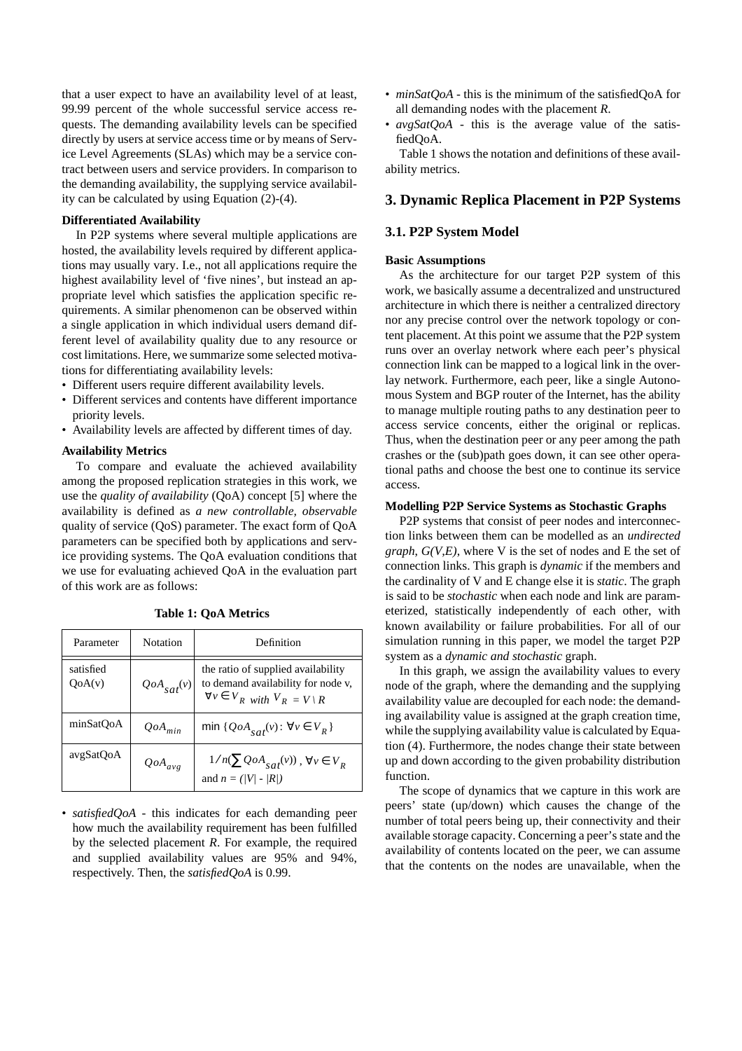that a user expect to have an availability level of at least, 99.99 percent of the whole successful service access requests. The demanding availability levels can be specified directly by users at service access time or by means of Service Level Agreements (SLAs) which may be a service contract between users and service providers. In comparison to the demanding availability, the supplying service availability can be calculated by using Equation (2)-(4).

#### **Differentiated Availability**

In P2P systems where several multiple applications are hosted, the availability levels required by different applications may usually vary. I.e., not all applications require the highest availability level of 'five nines', but instead an appropriate level which satisfies the application specific requirements. A similar phenomenon can be observed within a single application in which individual users demand different level of availability quality due to any resource or cost limitations. Here, we summarize some selected motivations for differentiating availability levels:

- Different users require different availability levels.
- Different services and contents have different importance priority levels.
- Availability levels are affected by different times of day.

#### **Availability Metrics**

To compare and evaluate the achieved availability among the proposed replication strategies in this work, we use the *quality of availability* (QoA) concept [5] where the availability is defined as *a new controllable, observable* quality of service (QoS) parameter. The exact form of QoA parameters can be specified both by applications and service providing systems. The QoA evaluation conditions that we use for evaluating achieved QoA in the evaluation part of this work are as follows:

| Parameter           | Notation       | Definition                                                                                                                  |
|---------------------|----------------|-----------------------------------------------------------------------------------------------------------------------------|
| satisfied<br>QoA(v) | $QoA_{sat}(v)$ | the ratio of supplied availability<br>to demand availability for node v,<br>$\forall v \in V_R$ with $V_R = V \backslash R$ |
| minSatQoA           | $QoA_{min}$    | min $\{QoA_{\text{cat}}(v): \forall v \in V_R\}$                                                                            |
| avgSatQoA           | $QoA_{avg}$    | $1/n(\sum Q \circ A_{\mathfrak{c}at}(v))$ , $\forall v \in V_R$<br>and $n = ( V  -  R )$                                    |

**Table 1: QoA Metrics**

• *satisfiedQoA* - this indicates for each demanding peer how much the availability requirement has been fulfilled by the selected placement *R*. For example, the required and supplied availability values are 95% and 94%, respectively. Then, the *satisfiedQoA* is 0.99.

- *minSatOoA* this is the minimum of the satisfiedOoA for all demanding nodes with the placement *R*.
- *avgSatQoA* this is the average value of the satisfiedQoA.

Table 1 shows the notation and definitions of these availability metrics.

# **3. Dynamic Replica Placement in P2P Systems**

## **3.1. P2P System Model**

#### **Basic Assumptions**

As the architecture for our target P2P system of this work, we basically assume a decentralized and unstructured architecture in which there is neither a centralized directory nor any precise control over the network topology or content placement. At this point we assume that the P2P system runs over an overlay network where each peer's physical connection link can be mapped to a logical link in the overlay network. Furthermore, each peer, like a single Autonomous System and BGP router of the Internet, has the ability to manage multiple routing paths to any destination peer to access service concents, either the original or replicas. Thus, when the destination peer or any peer among the path crashes or the (sub)path goes down, it can see other operational paths and choose the best one to continue its service access.

#### **Modelling P2P Service Systems as Stochastic Graphs**

P2P systems that consist of peer nodes and interconnection links between them can be modelled as an *undirected graph*, *G(V,E)*, where V is the set of nodes and E the set of connection links. This graph is *dynamic* if the members and the cardinality of V and E change else it is *static*. The graph is said to be *stochastic* when each node and link are parameterized, statistically independently of each other, with known availability or failure probabilities. For all of our simulation running in this paper, we model the target P2P system as a *dynamic and stochastic* graph.

In this graph, we assign the availability values to every node of the graph, where the demanding and the supplying availability value are decoupled for each node: the demanding availability value is assigned at the graph creation time, while the supplying availability value is calculated by Equation (4). Furthermore, the nodes change their state between up and down according to the given probability distribution function.

The scope of dynamics that we capture in this work are peers' state (up/down) which causes the change of the number of total peers being up, their connectivity and their available storage capacity. Concerning a peer's state and the availability of contents located on the peer, we can assume that the contents on the nodes are unavailable, when the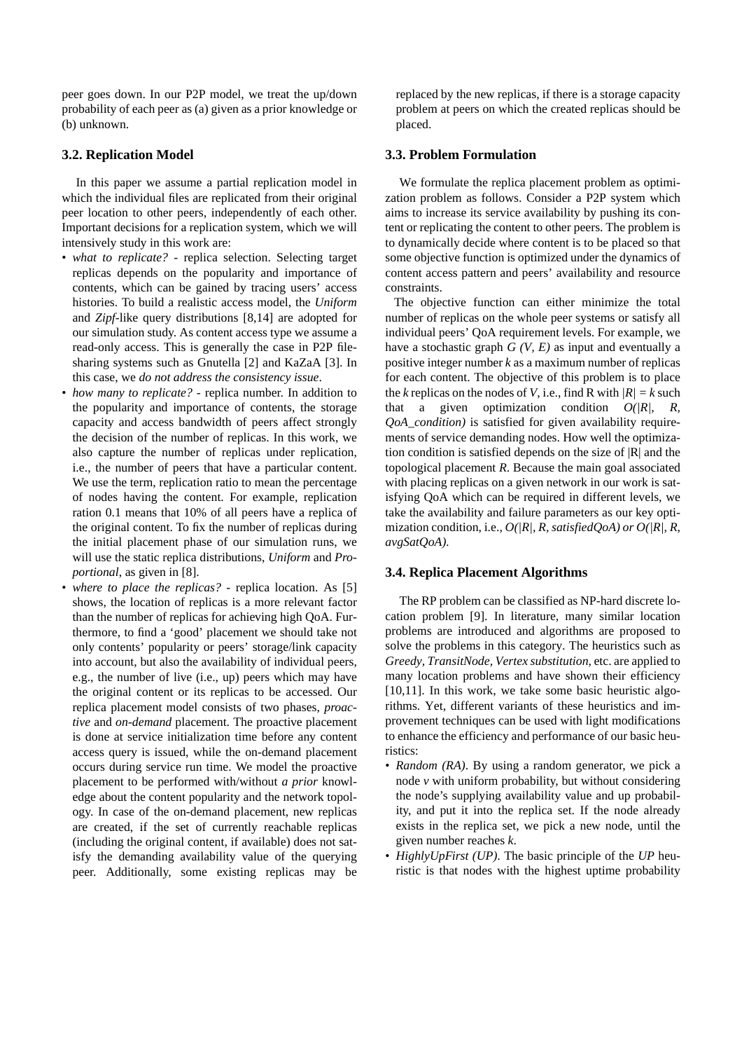peer goes down. In our P2P model, we treat the up/down probability of each peer as (a) given as a prior knowledge or (b) unknown.

## **3.2. Replication Model**

In this paper we assume a partial replication model in which the individual files are replicated from their original peer location to other peers, independently of each other. Important decisions for a replication system, which we will intensively study in this work are:

- *what to replicate?* replica selection. Selecting target replicas depends on the popularity and importance of contents, which can be gained by tracing users' access histories. To build a realistic access model, the *Uniform* and *Zipf*-like query distributions [8,14] are adopted for our simulation study. As content access type we assume a read-only access. This is generally the case in P2P filesharing systems such as Gnutella [2] and KaZaA [3]. In this case, we *do not address the consistency issue*.
- *how many to replicate?* replica number. In addition to the popularity and importance of contents, the storage capacity and access bandwidth of peers affect strongly the decision of the number of replicas. In this work, we also capture the number of replicas under replication, i.e., the number of peers that have a particular content. We use the term, replication ratio to mean the percentage of nodes having the content. For example, replication ration 0.1 means that 10% of all peers have a replica of the original content. To fix the number of replicas during the initial placement phase of our simulation runs, we will use the static replica distributions, *Uniform* and *Proportional*, as given in [8].
- *where to place the replicas? -* replica location. As [5] shows, the location of replicas is a more relevant factor than the number of replicas for achieving high QoA. Furthermore, to find a 'good' placement we should take not only contents' popularity or peers' storage/link capacity into account, but also the availability of individual peers, e.g., the number of live (i.e., up) peers which may have the original content or its replicas to be accessed. Our replica placement model consists of two phases, *proactive* and *on-demand* placement. The proactive placement is done at service initialization time before any content access query is issued, while the on-demand placement occurs during service run time. We model the proactive placement to be performed with/without *a prior* knowledge about the content popularity and the network topology. In case of the on-demand placement, new replicas are created, if the set of currently reachable replicas (including the original content, if available) does not satisfy the demanding availability value of the querying peer. Additionally, some existing replicas may be

replaced by the new replicas, if there is a storage capacity problem at peers on which the created replicas should be placed.

## **3.3. Problem Formulation**

We formulate the replica placement problem as optimization problem as follows. Consider a P2P system which aims to increase its service availability by pushing its content or replicating the content to other peers. The problem is to dynamically decide where content is to be placed so that some objective function is optimized under the dynamics of content access pattern and peers' availability and resource constraints.

The objective function can either minimize the total number of replicas on the whole peer systems or satisfy all individual peers' QoA requirement levels. For example, we have a stochastic graph *G (V, E)* as input and eventually a positive integer number *k* as a maximum number of replicas for each content. The objective of this problem is to place the *k* replicas on the nodes of *V*, i.e., find R with  $|R| = k$  such that a given optimization condition  $O(|R|, R, R)$ *QoA\_condition)* is satisfied for given availability requirements of service demanding nodes. How well the optimization condition is satisfied depends on the size of  $|R|$  and the topological placement *R*. Because the main goal associated with placing replicas on a given network in our work is satisfying QoA which can be required in different levels, we take the availability and failure parameters as our key optimization condition, i.e., *O(|R|, R, satisfiedQoA) or O(|R|, R, avgSatQoA).*

#### **3.4. Replica Placement Algorithms**

The RP problem can be classified as NP-hard discrete location problem [9]. In literature, many similar location problems are introduced and algorithms are proposed to solve the problems in this category. The heuristics such as *Greedy, TransitNode, Vertex substitution*, etc. are applied to many location problems and have shown their efficiency [10,11]. In this work, we take some basic heuristic algorithms. Yet, different variants of these heuristics and improvement techniques can be used with light modifications to enhance the efficiency and performance of our basic heuristics:

- *Random (RA)*. By using a random generator, we pick a node *v* with uniform probability, but without considering the node's supplying availability value and up probability, and put it into the replica set. If the node already exists in the replica set, we pick a new node, until the given number reaches *k*.
- *HighlyUpFirst (UP)*. The basic principle of the *UP* heuristic is that nodes with the highest uptime probability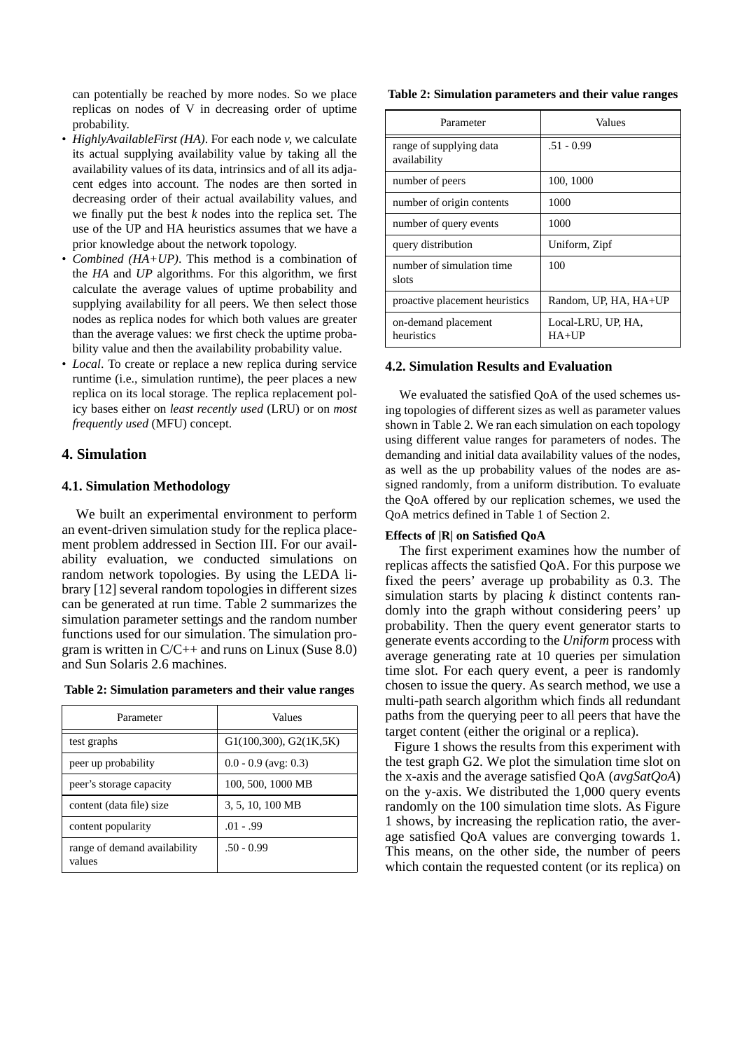can potentially be reached by more nodes. So we place replicas on nodes of V in decreasing order of uptime probability.

- *HighlyAvailableFirst (HA)*. For each node *v*, we calculate its actual supplying availability value by taking all the availability values of its data, intrinsics and of all its adjacent edges into account. The nodes are then sorted in decreasing order of their actual availability values, and we finally put the best *k* nodes into the replica set. The use of the UP and HA heuristics assumes that we have a prior knowledge about the network topology.
- *Combined (HA+UP)*. This method is a combination of the *HA* and *UP* algorithms. For this algorithm, we first calculate the average values of uptime probability and supplying availability for all peers. We then select those nodes as replica nodes for which both values are greater than the average values: we first check the uptime probability value and then the availability probability value.
- *Local*. To create or replace a new replica during service runtime (i.e., simulation runtime), the peer places a new replica on its local storage. The replica replacement policy bases either on *least recently used* (LRU) or on *most frequently used* (MFU) concept.

## **4. Simulation**

## **4.1. Simulation Methodology**

We built an experimental environment to perform an event-driven simulation study for the replica placement problem addressed in Section III. For our availability evaluation, we conducted simulations on random network topologies. By using the LEDA library [12] several random topologies in different sizes can be generated at run time. Table 2 summarizes the simulation parameter settings and the random number functions used for our simulation. The simulation program is written in  $C/C++$  and runs on Linux (Suse 8.0) and Sun Solaris 2.6 machines.

| Parameter                              | Values                      |
|----------------------------------------|-----------------------------|
| test graphs                            | $G1(100,300)$ , $G2(1K,5K)$ |
| peer up probability                    | $0.0 - 0.9$ (avg: 0.3)      |
| peer's storage capacity                | 100, 500, 1000 MB           |
| content (data file) size               | 3, 5, 10, 100 MB            |
| content popularity                     | $.01 - .99$                 |
| range of demand availability<br>values | $.50 - 0.99$                |

#### **Table 2: Simulation parameters and their value ranges**

| Parameter                               | Values                            |
|-----------------------------------------|-----------------------------------|
| range of supplying data<br>availability | $.51 - 0.99$                      |
| number of peers                         | 100, 1000                         |
| number of origin contents               | 1000                              |
| number of query events                  | 1000                              |
| query distribution                      | Uniform, Zipf                     |
| number of simulation time<br>slots      | 100                               |
| proactive placement heuristics          | Random, UP, HA, HA+UP             |
| on-demand placement<br>heuristics       | Local-LRU, UP, HA.<br>$HA+I$ $IP$ |

#### **4.2. Simulation Results and Evaluation**

We evaluated the satisfied QoA of the used schemes using topologies of different sizes as well as parameter values shown in Table 2. We ran each simulation on each topology using different value ranges for parameters of nodes. The demanding and initial data availability values of the nodes, as well as the up probability values of the nodes are assigned randomly, from a uniform distribution. To evaluate the QoA offered by our replication schemes, we used the QoA metrics defined in Table 1 of Section 2.

#### **Effects of |R| on Satisfied QoA**

The first experiment examines how the number of replicas affects the satisfied QoA. For this purpose we fixed the peers' average up probability as 0.3. The simulation starts by placing *k* distinct contents randomly into the graph without considering peers' up probability. Then the query event generator starts to generate events according to the *Uniform* process with average generating rate at 10 queries per simulation time slot. For each query event, a peer is randomly chosen to issue the query. As search method, we use a multi-path search algorithm which finds all redundant paths from the querying peer to all peers that have the target content (either the original or a replica).

Figure 1 shows the results from this experiment with the test graph G2. We plot the simulation time slot on the x-axis and the average satisfied QoA (*avgSatQoA*) on the y-axis. We distributed the 1,000 query events randomly on the 100 simulation time slots. As Figure 1 shows, by increasing the replication ratio, the average satisfied QoA values are converging towards 1. This means, on the other side, the number of peers which contain the requested content (or its replica) on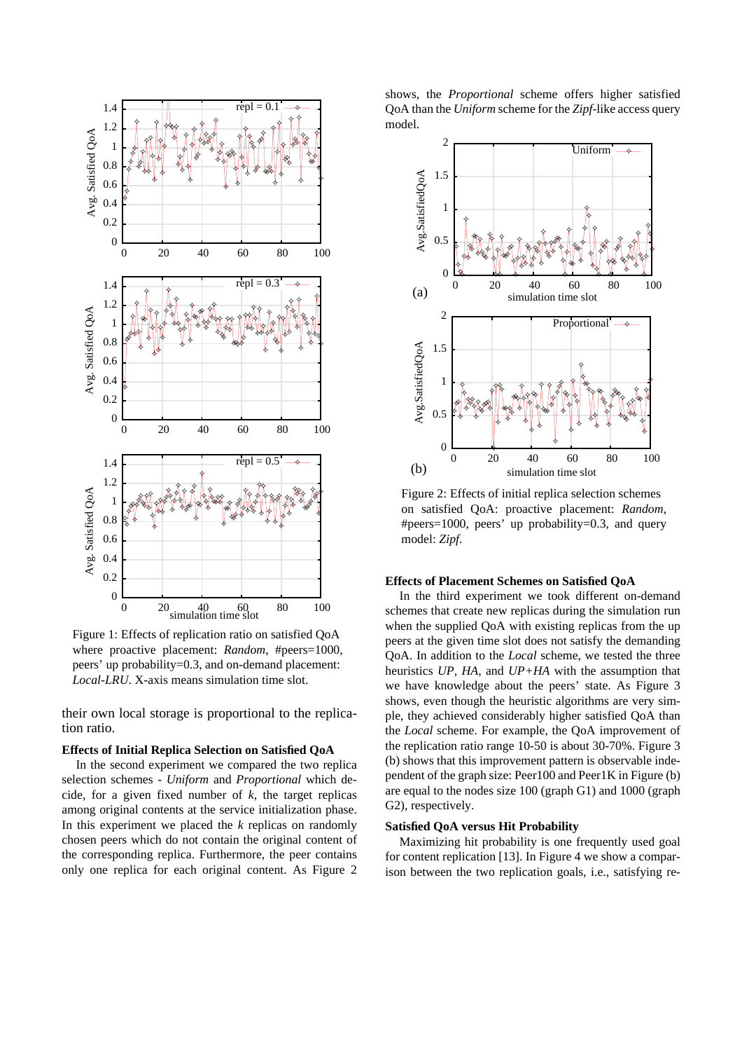

Figure 1: Effects of replication ratio on satisfied QoA where proactive placement: *Random*, #peers=1000, peers' up probability=0.3, and on-demand placement: *Local-LRU*. X-axis means simulation time slot.

their own local storage is proportional to the replication ratio.

#### **Effects of Initial Replica Selection on Satisfied QoA**

In the second experiment we compared the two replica selection schemes - *Uniform* and *Proportional* which decide, for a given fixed number of *k*, the target replicas among original contents at the service initialization phase. In this experiment we placed the *k* replicas on randomly chosen peers which do not contain the original content of the corresponding replica. Furthermore, the peer contains only one replica for each original content. As Figure 2 shows, the *Proportional* scheme offers higher satisfied QoA than the *Uniform* scheme for the *Zipf*-like access query model.



Figure 2: Effects of initial replica selection schemes on satisfied QoA: proactive placement: *Random*, #peers=1000, peers' up probability=0.3, and query model: *Zipf*.

#### **Effects of Placement Schemes on Satisfied QoA**

In the third experiment we took different on-demand schemes that create new replicas during the simulation run when the supplied QoA with existing replicas from the up peers at the given time slot does not satisfy the demanding QoA. In addition to the *Local* scheme, we tested the three heuristics *UP, HA,* and *UP+HA* with the assumption that we have knowledge about the peers' state. As Figure 3 shows, even though the heuristic algorithms are very simple, they achieved considerably higher satisfied QoA than the *Local* scheme. For example, the QoA improvement of the replication ratio range 10-50 is about 30-70%. Figure 3 (b) shows that this improvement pattern is observable independent of the graph size: Peer100 and Peer1K in Figure (b) are equal to the nodes size 100 (graph G1) and 1000 (graph G2), respectively.

#### **Satisfied QoA versus Hit Probability**

Maximizing hit probability is one frequently used goal for content replication [13]. In Figure 4 we show a comparison between the two replication goals, i.e., satisfying re-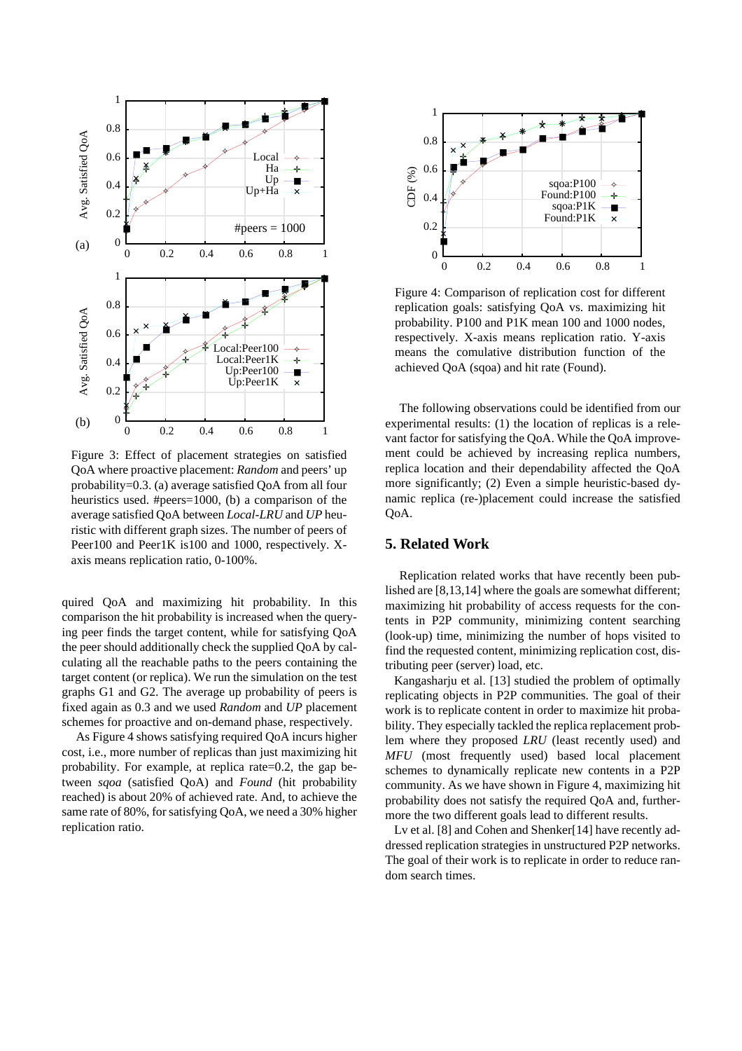

Figure 3: Effect of placement strategies on satisfied QoA where proactive placement: *Random* and peers' up probability=0.3. (a) average satisfied QoA from all four heuristics used. #peers=1000, (b) a comparison of the average satisfied QoA between *Local-LRU* and *UP* heuristic with different graph sizes. The number of peers of Peer100 and Peer1K is100 and 1000, respectively. Xaxis means replication ratio, 0-100%.

quired QoA and maximizing hit probability. In this comparison the hit probability is increased when the querying peer finds the target content, while for satisfying QoA the peer should additionally check the supplied QoA by calculating all the reachable paths to the peers containing the target content (or replica). We run the simulation on the test graphs G1 and G2. The average up probability of peers is fixed again as 0.3 and we used *Random* and *UP* placement schemes for proactive and on-demand phase, respectively.

As Figure 4 shows satisfying required QoA incurs higher cost, i.e., more number of replicas than just maximizing hit probability. For example, at replica rate=0.2, the gap between *sqoa* (satisfied QoA) and *Found* (hit probability reached) is about 20% of achieved rate. And, to achieve the same rate of 80%, for satisfying QoA, we need a 30% higher replication ratio.



Figure 4: Comparison of replication cost for different replication goals: satisfying QoA vs. maximizing hit probability. P100 and P1K mean 100 and 1000 nodes, respectively. X-axis means replication ratio. Y-axis means the comulative distribution function of the achieved QoA (sqoa) and hit rate (Found).

The following observations could be identified from our experimental results: (1) the location of replicas is a relevant factor for satisfying the QoA. While the QoA improvement could be achieved by increasing replica numbers, replica location and their dependability affected the QoA more significantly; (2) Even a simple heuristic-based dynamic replica (re-)placement could increase the satisfied QoA.

# **5. Related Work**

Replication related works that have recently been published are [8,13,14] where the goals are somewhat different; maximizing hit probability of access requests for the contents in P2P community, minimizing content searching (look-up) time, minimizing the number of hops visited to find the requested content, minimizing replication cost, distributing peer (server) load, etc.

Kangasharju et al. [13] studied the problem of optimally replicating objects in P2P communities. The goal of their work is to replicate content in order to maximize hit probability. They especially tackled the replica replacement problem where they proposed *LRU* (least recently used) and *MFU* (most frequently used) based local placement schemes to dynamically replicate new contents in a P2P community. As we have shown in Figure 4, maximizing hit probability does not satisfy the required QoA and, furthermore the two different goals lead to different results.

Lv et al. [8] and Cohen and Shenker[14] have recently addressed replication strategies in unstructured P2P networks. The goal of their work is to replicate in order to reduce random search times.